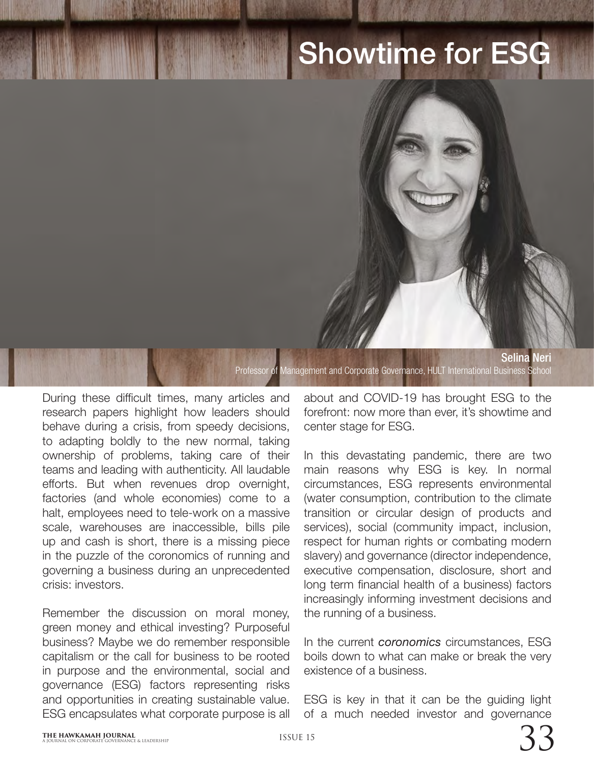# Showtime for ESG

Selina Neri Professor of Management and Corporate Governance, HULT International Business School

During these difficult times, many articles and research papers highlight how leaders should behave during a crisis, from speedy decisions, to adapting boldly to the new normal, taking ownership of problems, taking care of their teams and leading with authenticity. All laudable efforts. But when revenues drop overnight, factories (and whole economies) come to a halt, employees need to tele-work on a massive scale, warehouses are inaccessible, bills pile up and cash is short, there is a missing piece in the puzzle of the coronomics of running and governing a business during an unprecedented crisis: investors.

Remember the discussion on moral money, green money and ethical investing? Purposeful business? Maybe we do remember responsible capitalism or the call for business to be rooted in purpose and the environmental, social and governance (ESG) factors representing risks and opportunities in creating sustainable value. ESG encapsulates what corporate purpose is all

about and COVID-19 has brought ESG to the forefront: now more than ever, it's showtime and center stage for ESG.

In this devastating pandemic, there are two main reasons why ESG is key. In normal circumstances, ESG represents environmental (water consumption, contribution to the climate transition or circular design of products and services), social (community impact, inclusion, respect for human rights or combating modern slavery) and governance (director independence, executive compensation, disclosure, short and long term financial health of a business) factors increasingly informing investment decisions and the running of a business.

In the current *coronomics* circumstances, ESG boils down to what can make or break the very existence of a business.

ESG is key in that it can be the guiding light of a much needed investor and governance

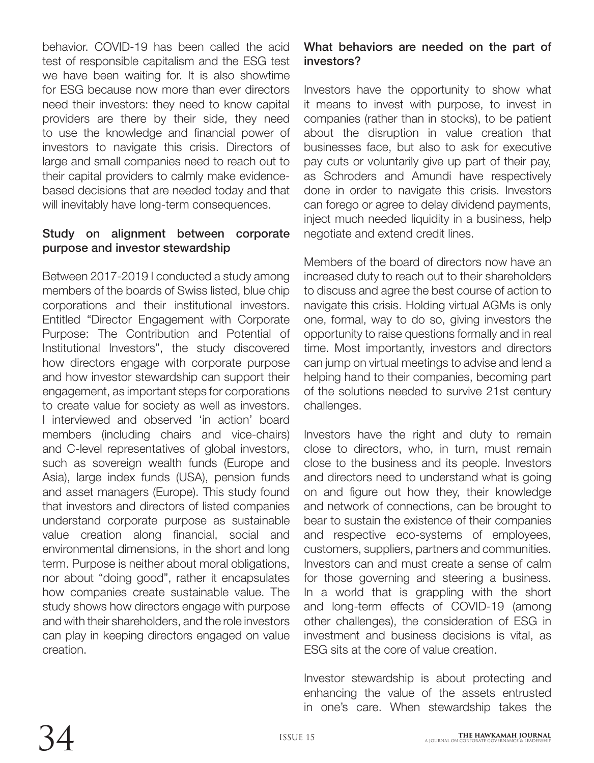behavior. COVID-19 has been called the acid test of responsible capitalism and the ESG test we have been waiting for. It is also showtime for ESG because now more than ever directors need their investors: they need to know capital providers are there by their side, they need to use the knowledge and financial power of investors to navigate this crisis. Directors of large and small companies need to reach out to their capital providers to calmly make evidencebased decisions that are needed today and that will inevitably have long-term consequences.

# Study on alignment between corporate purpose and investor stewardship

Between 2017-2019 I conducted a study among members of the boards of Swiss listed, blue chip corporations and their institutional investors. Entitled "Director Engagement with Corporate Purpose: The Contribution and Potential of Institutional Investors", the study discovered how directors engage with corporate purpose and how investor stewardship can support their engagement, as important steps for corporations to create value for society as well as investors. I interviewed and observed 'in action' board members (including chairs and vice-chairs) and C-level representatives of global investors, such as sovereign wealth funds (Europe and Asia), large index funds (USA), pension funds and asset managers (Europe). This study found that investors and directors of listed companies understand corporate purpose as sustainable value creation along financial, social and environmental dimensions, in the short and long term. Purpose is neither about moral obligations, nor about "doing good", rather it encapsulates how companies create sustainable value. The study shows how directors engage with purpose and with their shareholders, and the role investors can play in keeping directors engaged on value creation.

# What behaviors are needed on the part of investors?

Investors have the opportunity to show what it means to invest with purpose, to invest in companies (rather than in stocks), to be patient about the disruption in value creation that businesses face, but also to ask for executive pay cuts or voluntarily give up part of their pay, as Schroders and Amundi have respectively done in order to navigate this crisis. Investors can forego or agree to delay dividend payments, inject much needed liquidity in a business, help negotiate and extend credit lines.

Members of the board of directors now have an increased duty to reach out to their shareholders to discuss and agree the best course of action to navigate this crisis. Holding virtual AGMs is only one, formal, way to do so, giving investors the opportunity to raise questions formally and in real time. Most importantly, investors and directors can jump on virtual meetings to advise and lend a helping hand to their companies, becoming part of the solutions needed to survive 21st century challenges.

Investors have the right and duty to remain close to directors, who, in turn, must remain close to the business and its people. Investors and directors need to understand what is going on and figure out how they, their knowledge and network of connections, can be brought to bear to sustain the existence of their companies and respective eco-systems of employees, customers, suppliers, partners and communities. Investors can and must create a sense of calm for those governing and steering a business. In a world that is grappling with the short and long-term effects of COVID-19 (among other challenges), the consideration of ESG in investment and business decisions is vital, as ESG sits at the core of value creation.

Investor stewardship is about protecting and enhancing the value of the assets entrusted in one's care. When stewardship takes the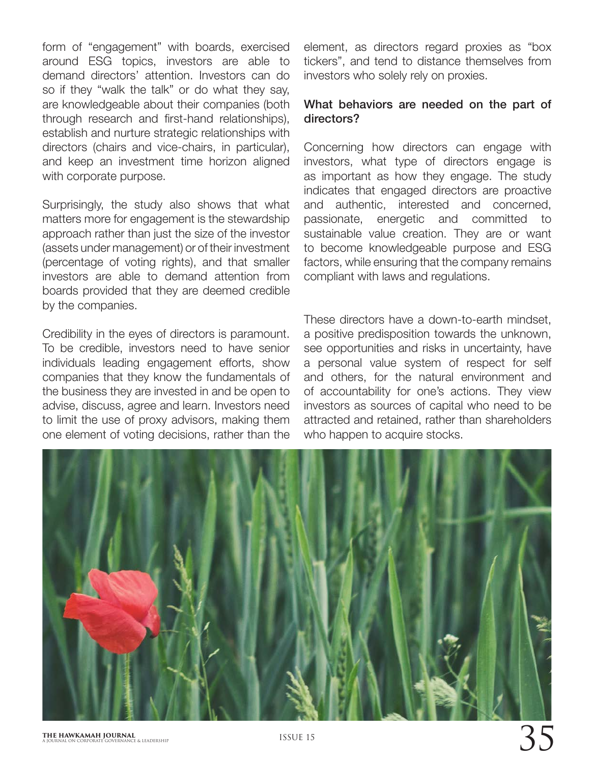form of "engagement" with boards, exercised around ESG topics, investors are able to demand directors' attention. Investors can do so if they "walk the talk" or do what they say, are knowledgeable about their companies (both through research and first-hand relationships), establish and nurture strategic relationships with directors (chairs and vice-chairs, in particular), and keep an investment time horizon aligned with corporate purpose.

Surprisingly, the study also shows that what matters more for engagement is the stewardship approach rather than just the size of the investor (assets under management) or of their investment (percentage of voting rights), and that smaller investors are able to demand attention from boards provided that they are deemed credible by the companies.

Credibility in the eyes of directors is paramount. To be credible, investors need to have senior individuals leading engagement efforts, show companies that they know the fundamentals of the business they are invested in and be open to advise, discuss, agree and learn. Investors need to limit the use of proxy advisors, making them one element of voting decisions, rather than the

element, as directors regard proxies as "box tickers", and tend to distance themselves from investors who solely rely on proxies.

### What behaviors are needed on the part of directors?

Concerning how directors can engage with investors, what type of directors engage is as important as how they engage. The study indicates that engaged directors are proactive and authentic, interested and concerned, passionate, energetic and committed to sustainable value creation. They are or want to become knowledgeable purpose and ESG factors, while ensuring that the company remains compliant with laws and regulations.

These directors have a down-to-earth mindset, a positive predisposition towards the unknown, see opportunities and risks in uncertainty, have a personal value system of respect for self and others, for the natural environment and of accountability for one's actions. They view investors as sources of capital who need to be attracted and retained, rather than shareholders who happen to acquire stocks.